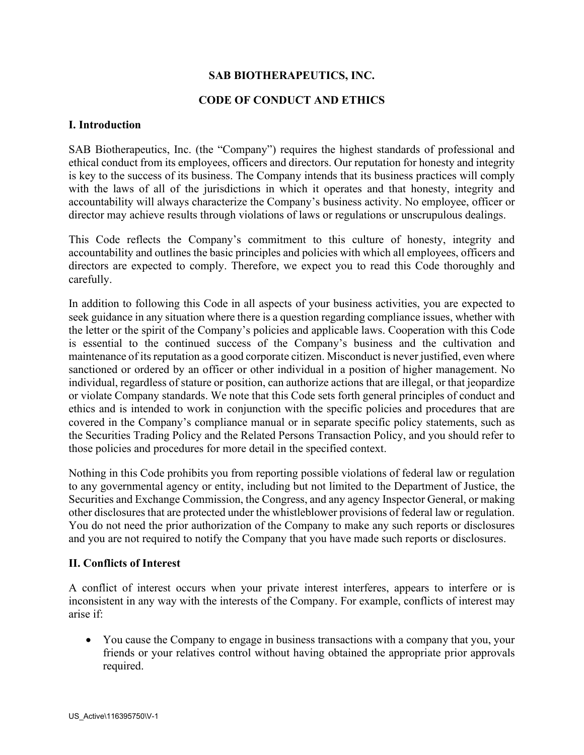# **SAB BIOTHERAPEUTICS, INC.**

### **CODE OF CONDUCT AND ETHICS**

#### **I. Introduction**

SAB Biotherapeutics, Inc. (the "Company") requires the highest standards of professional and ethical conduct from its employees, officers and directors. Our reputation for honesty and integrity is key to the success of its business. The Company intends that its business practices will comply with the laws of all of the jurisdictions in which it operates and that honesty, integrity and accountability will always characterize the Company's business activity. No employee, officer or director may achieve results through violations of laws or regulations or unscrupulous dealings.

This Code reflects the Company's commitment to this culture of honesty, integrity and accountability and outlines the basic principles and policies with which all employees, officers and directors are expected to comply. Therefore, we expect you to read this Code thoroughly and carefully.

In addition to following this Code in all aspects of your business activities, you are expected to seek guidance in any situation where there is a question regarding compliance issues, whether with the letter or the spirit of the Company's policies and applicable laws. Cooperation with this Code is essential to the continued success of the Company's business and the cultivation and maintenance of its reputation as a good corporate citizen. Misconduct is never justified, even where sanctioned or ordered by an officer or other individual in a position of higher management. No individual, regardless of stature or position, can authorize actions that are illegal, or that jeopardize or violate Company standards. We note that this Code sets forth general principles of conduct and ethics and is intended to work in conjunction with the specific policies and procedures that are covered in the Company's compliance manual or in separate specific policy statements, such as the Securities Trading Policy and the Related Persons Transaction Policy, and you should refer to those policies and procedures for more detail in the specified context.

Nothing in this Code prohibits you from reporting possible violations of federal law or regulation to any governmental agency or entity, including but not limited to the Department of Justice, the Securities and Exchange Commission, the Congress, and any agency Inspector General, or making other disclosures that are protected under the whistleblower provisions of federal law or regulation. You do not need the prior authorization of the Company to make any such reports or disclosures and you are not required to notify the Company that you have made such reports or disclosures.

#### **II. Conflicts of Interest**

A conflict of interest occurs when your private interest interferes, appears to interfere or is inconsistent in any way with the interests of the Company. For example, conflicts of interest may arise if:

• You cause the Company to engage in business transactions with a company that you, your friends or your relatives control without having obtained the appropriate prior approvals required.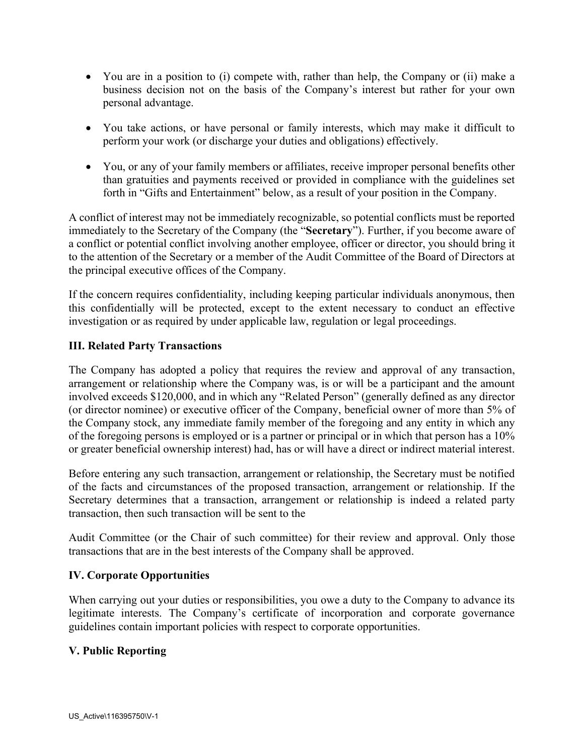- You are in a position to (i) compete with, rather than help, the Company or (ii) make a business decision not on the basis of the Company's interest but rather for your own personal advantage.
- You take actions, or have personal or family interests, which may make it difficult to perform your work (or discharge your duties and obligations) effectively.
- You, or any of your family members or affiliates, receive improper personal benefits other than gratuities and payments received or provided in compliance with the guidelines set forth in "Gifts and Entertainment" below, as a result of your position in the Company.

A conflict of interest may not be immediately recognizable, so potential conflicts must be reported immediately to the Secretary of the Company (the "**Secretary**"). Further, if you become aware of a conflict or potential conflict involving another employee, officer or director, you should bring it to the attention of the Secretary or a member of the Audit Committee of the Board of Directors at the principal executive offices of the Company.

If the concern requires confidentiality, including keeping particular individuals anonymous, then this confidentially will be protected, except to the extent necessary to conduct an effective investigation or as required by under applicable law, regulation or legal proceedings.

# **III. Related Party Transactions**

The Company has adopted a policy that requires the review and approval of any transaction, arrangement or relationship where the Company was, is or will be a participant and the amount involved exceeds \$120,000, and in which any "Related Person" (generally defined as any director (or director nominee) or executive officer of the Company, beneficial owner of more than 5% of the Company stock, any immediate family member of the foregoing and any entity in which any of the foregoing persons is employed or is a partner or principal or in which that person has a 10% or greater beneficial ownership interest) had, has or will have a direct or indirect material interest.

Before entering any such transaction, arrangement or relationship, the Secretary must be notified of the facts and circumstances of the proposed transaction, arrangement or relationship. If the Secretary determines that a transaction, arrangement or relationship is indeed a related party transaction, then such transaction will be sent to the

Audit Committee (or the Chair of such committee) for their review and approval. Only those transactions that are in the best interests of the Company shall be approved.

# **IV. Corporate Opportunities**

When carrying out your duties or responsibilities, you owe a duty to the Company to advance its legitimate interests. The Company's certificate of incorporation and corporate governance guidelines contain important policies with respect to corporate opportunities.

# **V. Public Reporting**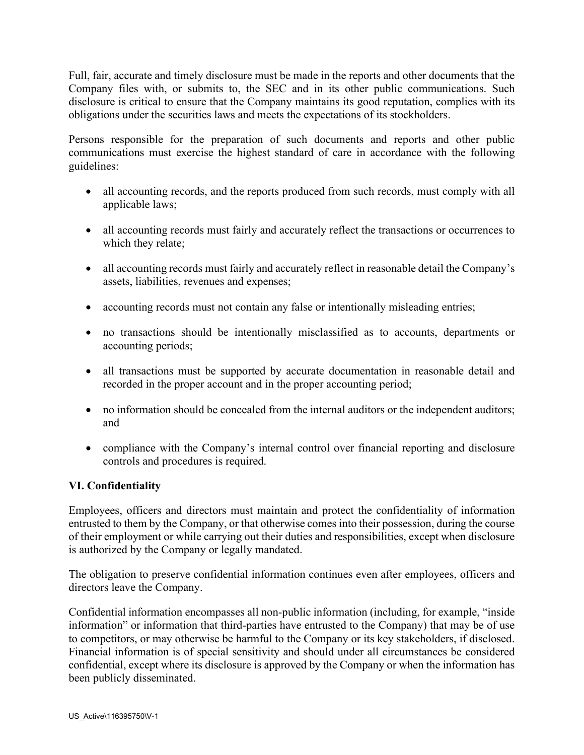Full, fair, accurate and timely disclosure must be made in the reports and other documents that the Company files with, or submits to, the SEC and in its other public communications. Such disclosure is critical to ensure that the Company maintains its good reputation, complies with its obligations under the securities laws and meets the expectations of its stockholders.

Persons responsible for the preparation of such documents and reports and other public communications must exercise the highest standard of care in accordance with the following guidelines:

- all accounting records, and the reports produced from such records, must comply with all applicable laws;
- all accounting records must fairly and accurately reflect the transactions or occurrences to which they relate;
- all accounting records must fairly and accurately reflect in reasonable detail the Company's assets, liabilities, revenues and expenses;
- accounting records must not contain any false or intentionally misleading entries;
- no transactions should be intentionally misclassified as to accounts, departments or accounting periods;
- all transactions must be supported by accurate documentation in reasonable detail and recorded in the proper account and in the proper accounting period;
- no information should be concealed from the internal auditors or the independent auditors; and
- compliance with the Company's internal control over financial reporting and disclosure controls and procedures is required.

# **VI. Confidentiality**

Employees, officers and directors must maintain and protect the confidentiality of information entrusted to them by the Company, or that otherwise comes into their possession, during the course of their employment or while carrying out their duties and responsibilities, except when disclosure is authorized by the Company or legally mandated.

The obligation to preserve confidential information continues even after employees, officers and directors leave the Company.

Confidential information encompasses all non-public information (including, for example, "inside information" or information that third-parties have entrusted to the Company) that may be of use to competitors, or may otherwise be harmful to the Company or its key stakeholders, if disclosed. Financial information is of special sensitivity and should under all circumstances be considered confidential, except where its disclosure is approved by the Company or when the information has been publicly disseminated.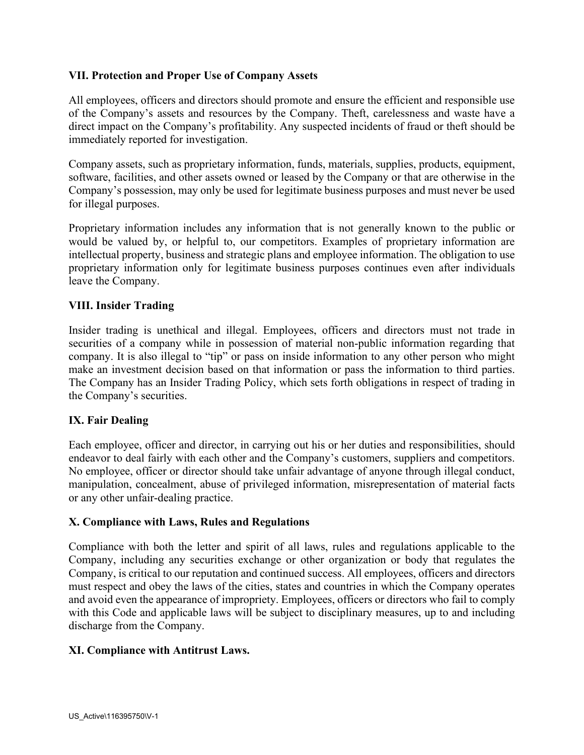## **VII. Protection and Proper Use of Company Assets**

All employees, officers and directors should promote and ensure the efficient and responsible use of the Company's assets and resources by the Company. Theft, carelessness and waste have a direct impact on the Company's profitability. Any suspected incidents of fraud or theft should be immediately reported for investigation.

Company assets, such as proprietary information, funds, materials, supplies, products, equipment, software, facilities, and other assets owned or leased by the Company or that are otherwise in the Company's possession, may only be used for legitimate business purposes and must never be used for illegal purposes.

Proprietary information includes any information that is not generally known to the public or would be valued by, or helpful to, our competitors. Examples of proprietary information are intellectual property, business and strategic plans and employee information. The obligation to use proprietary information only for legitimate business purposes continues even after individuals leave the Company.

## **VIII. Insider Trading**

Insider trading is unethical and illegal. Employees, officers and directors must not trade in securities of a company while in possession of material non-public information regarding that company. It is also illegal to "tip" or pass on inside information to any other person who might make an investment decision based on that information or pass the information to third parties. The Company has an Insider Trading Policy, which sets forth obligations in respect of trading in the Company's securities.

#### **IX. Fair Dealing**

Each employee, officer and director, in carrying out his or her duties and responsibilities, should endeavor to deal fairly with each other and the Company's customers, suppliers and competitors. No employee, officer or director should take unfair advantage of anyone through illegal conduct, manipulation, concealment, abuse of privileged information, misrepresentation of material facts or any other unfair-dealing practice.

#### **X. Compliance with Laws, Rules and Regulations**

Compliance with both the letter and spirit of all laws, rules and regulations applicable to the Company, including any securities exchange or other organization or body that regulates the Company, is critical to our reputation and continued success. All employees, officers and directors must respect and obey the laws of the cities, states and countries in which the Company operates and avoid even the appearance of impropriety. Employees, officers or directors who fail to comply with this Code and applicable laws will be subject to disciplinary measures, up to and including discharge from the Company.

#### **XI. Compliance with Antitrust Laws.**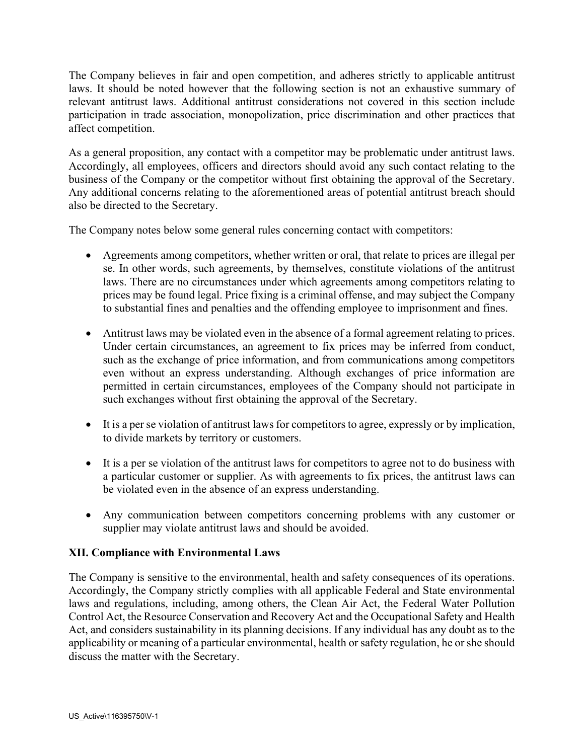The Company believes in fair and open competition, and adheres strictly to applicable antitrust laws. It should be noted however that the following section is not an exhaustive summary of relevant antitrust laws. Additional antitrust considerations not covered in this section include participation in trade association, monopolization, price discrimination and other practices that affect competition.

As a general proposition, any contact with a competitor may be problematic under antitrust laws. Accordingly, all employees, officers and directors should avoid any such contact relating to the business of the Company or the competitor without first obtaining the approval of the Secretary. Any additional concerns relating to the aforementioned areas of potential antitrust breach should also be directed to the Secretary.

The Company notes below some general rules concerning contact with competitors:

- Agreements among competitors, whether written or oral, that relate to prices are illegal per se. In other words, such agreements, by themselves, constitute violations of the antitrust laws. There are no circumstances under which agreements among competitors relating to prices may be found legal. Price fixing is a criminal offense, and may subject the Company to substantial fines and penalties and the offending employee to imprisonment and fines.
- Antitrust laws may be violated even in the absence of a formal agreement relating to prices. Under certain circumstances, an agreement to fix prices may be inferred from conduct, such as the exchange of price information, and from communications among competitors even without an express understanding. Although exchanges of price information are permitted in certain circumstances, employees of the Company should not participate in such exchanges without first obtaining the approval of the Secretary.
- It is a per se violation of antitrust laws for competitors to agree, expressly or by implication, to divide markets by territory or customers.
- It is a per se violation of the antitrust laws for competitors to agree not to do business with a particular customer or supplier. As with agreements to fix prices, the antitrust laws can be violated even in the absence of an express understanding.
- Any communication between competitors concerning problems with any customer or supplier may violate antitrust laws and should be avoided.

# **XII. Compliance with Environmental Laws**

The Company is sensitive to the environmental, health and safety consequences of its operations. Accordingly, the Company strictly complies with all applicable Federal and State environmental laws and regulations, including, among others, the Clean Air Act, the Federal Water Pollution Control Act, the Resource Conservation and Recovery Act and the Occupational Safety and Health Act, and considers sustainability in its planning decisions. If any individual has any doubt as to the applicability or meaning of a particular environmental, health or safety regulation, he or she should discuss the matter with the Secretary.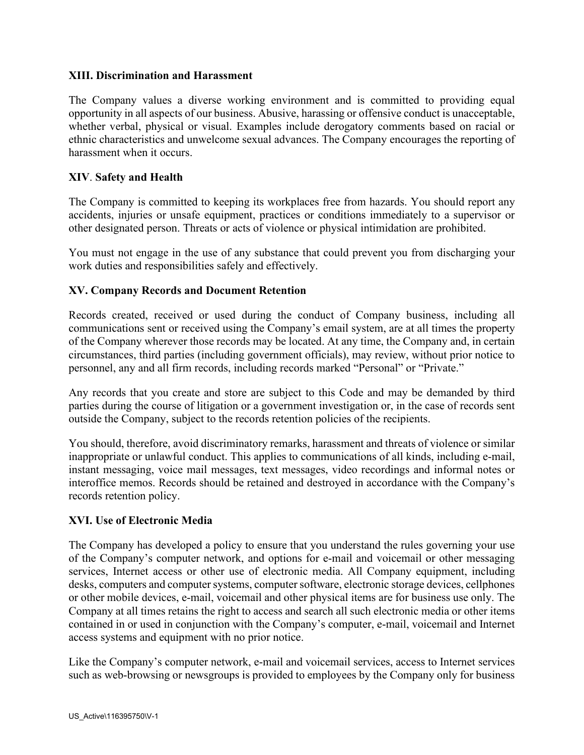## **XIII. Discrimination and Harassment**

The Company values a diverse working environment and is committed to providing equal opportunity in all aspects of our business. Abusive, harassing or offensive conduct is unacceptable, whether verbal, physical or visual. Examples include derogatory comments based on racial or ethnic characteristics and unwelcome sexual advances. The Company encourages the reporting of harassment when it occurs.

## **XIV**. **Safety and Health**

The Company is committed to keeping its workplaces free from hazards. You should report any accidents, injuries or unsafe equipment, practices or conditions immediately to a supervisor or other designated person. Threats or acts of violence or physical intimidation are prohibited.

You must not engage in the use of any substance that could prevent you from discharging your work duties and responsibilities safely and effectively.

## **XV. Company Records and Document Retention**

Records created, received or used during the conduct of Company business, including all communications sent or received using the Company's email system, are at all times the property of the Company wherever those records may be located. At any time, the Company and, in certain circumstances, third parties (including government officials), may review, without prior notice to personnel, any and all firm records, including records marked "Personal" or "Private."

Any records that you create and store are subject to this Code and may be demanded by third parties during the course of litigation or a government investigation or, in the case of records sent outside the Company, subject to the records retention policies of the recipients.

You should, therefore, avoid discriminatory remarks, harassment and threats of violence or similar inappropriate or unlawful conduct. This applies to communications of all kinds, including e-mail, instant messaging, voice mail messages, text messages, video recordings and informal notes or interoffice memos. Records should be retained and destroyed in accordance with the Company's records retention policy.

#### **XVI. Use of Electronic Media**

The Company has developed a policy to ensure that you understand the rules governing your use of the Company's computer network, and options for e-mail and voicemail or other messaging services, Internet access or other use of electronic media. All Company equipment, including desks, computers and computer systems, computer software, electronic storage devices, cellphones or other mobile devices, e-mail, voicemail and other physical items are for business use only. The Company at all times retains the right to access and search all such electronic media or other items contained in or used in conjunction with the Company's computer, e-mail, voicemail and Internet access systems and equipment with no prior notice.

Like the Company's computer network, e-mail and voicemail services, access to Internet services such as web-browsing or newsgroups is provided to employees by the Company only for business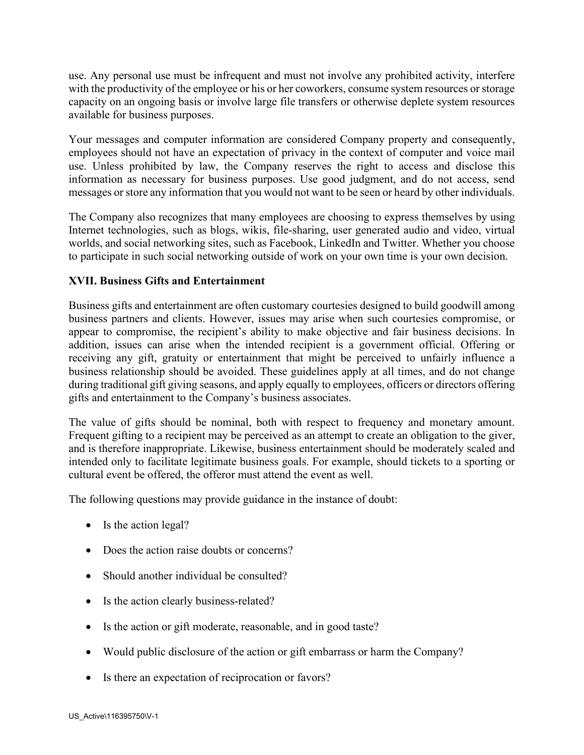use. Any personal use must be infrequent and must not involve any prohibited activity, interfere with the productivity of the employee or his or her coworkers, consume system resources or storage capacity on an ongoing basis or involve large file transfers or otherwise deplete system resources available for business purposes.

Your messages and computer information are considered Company property and consequently, employees should not have an expectation of privacy in the context of computer and voice mail use. Unless prohibited by law, the Company reserves the right to access and disclose this information as necessary for business purposes. Use good judgment, and do not access, send messages or store any information that you would not want to be seen or heard by other individuals.

The Company also recognizes that many employees are choosing to express themselves by using Internet technologies, such as blogs, wikis, file-sharing, user generated audio and video, virtual worlds, and social networking sites, such as Facebook, LinkedIn and Twitter. Whether you choose to participate in such social networking outside of work on your own time is your own decision.

# **XVII. Business Gifts and Entertainment**

Business gifts and entertainment are often customary courtesies designed to build goodwill among business partners and clients. However, issues may arise when such courtesies compromise, or appear to compromise, the recipient's ability to make objective and fair business decisions. In addition, issues can arise when the intended recipient is a government official. Offering or receiving any gift, gratuity or entertainment that might be perceived to unfairly influence a business relationship should be avoided. These guidelines apply at all times, and do not change during traditional gift giving seasons, and apply equally to employees, officers or directors offering gifts and entertainment to the Company's business associates.

The value of gifts should be nominal, both with respect to frequency and monetary amount. Frequent gifting to a recipient may be perceived as an attempt to create an obligation to the giver, and is therefore inappropriate. Likewise, business entertainment should be moderately scaled and intended only to facilitate legitimate business goals. For example, should tickets to a sporting or cultural event be offered, the offeror must attend the event as well.

The following questions may provide guidance in the instance of doubt:

- Is the action legal?
- Does the action raise doubts or concerns?
- Should another individual be consulted?
- Is the action clearly business-related?
- Is the action or gift moderate, reasonable, and in good taste?
- Would public disclosure of the action or gift embarrass or harm the Company?
- Is there an expectation of reciprocation or favors?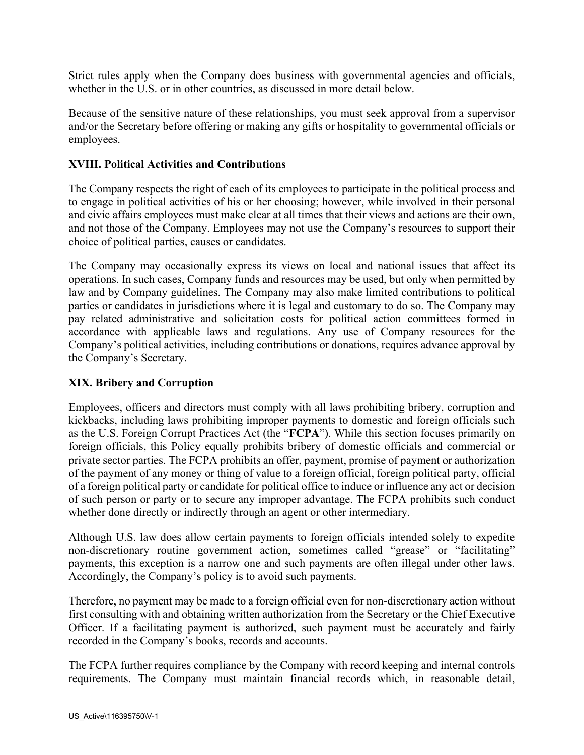Strict rules apply when the Company does business with governmental agencies and officials, whether in the U.S. or in other countries, as discussed in more detail below.

Because of the sensitive nature of these relationships, you must seek approval from a supervisor and/or the Secretary before offering or making any gifts or hospitality to governmental officials or employees.

## **XVIII. Political Activities and Contributions**

The Company respects the right of each of its employees to participate in the political process and to engage in political activities of his or her choosing; however, while involved in their personal and civic affairs employees must make clear at all times that their views and actions are their own, and not those of the Company. Employees may not use the Company's resources to support their choice of political parties, causes or candidates.

The Company may occasionally express its views on local and national issues that affect its operations. In such cases, Company funds and resources may be used, but only when permitted by law and by Company guidelines. The Company may also make limited contributions to political parties or candidates in jurisdictions where it is legal and customary to do so. The Company may pay related administrative and solicitation costs for political action committees formed in accordance with applicable laws and regulations. Any use of Company resources for the Company's political activities, including contributions or donations, requires advance approval by the Company's Secretary.

## **XIX. Bribery and Corruption**

Employees, officers and directors must comply with all laws prohibiting bribery, corruption and kickbacks, including laws prohibiting improper payments to domestic and foreign officials such as the U.S. Foreign Corrupt Practices Act (the "**FCPA**"). While this section focuses primarily on foreign officials, this Policy equally prohibits bribery of domestic officials and commercial or private sector parties. The FCPA prohibits an offer, payment, promise of payment or authorization of the payment of any money or thing of value to a foreign official, foreign political party, official of a foreign political party or candidate for political office to induce or influence any act or decision of such person or party or to secure any improper advantage. The FCPA prohibits such conduct whether done directly or indirectly through an agent or other intermediary.

Although U.S. law does allow certain payments to foreign officials intended solely to expedite non-discretionary routine government action, sometimes called "grease" or "facilitating" payments, this exception is a narrow one and such payments are often illegal under other laws. Accordingly, the Company's policy is to avoid such payments.

Therefore, no payment may be made to a foreign official even for non-discretionary action without first consulting with and obtaining written authorization from the Secretary or the Chief Executive Officer. If a facilitating payment is authorized, such payment must be accurately and fairly recorded in the Company's books, records and accounts.

The FCPA further requires compliance by the Company with record keeping and internal controls requirements. The Company must maintain financial records which, in reasonable detail,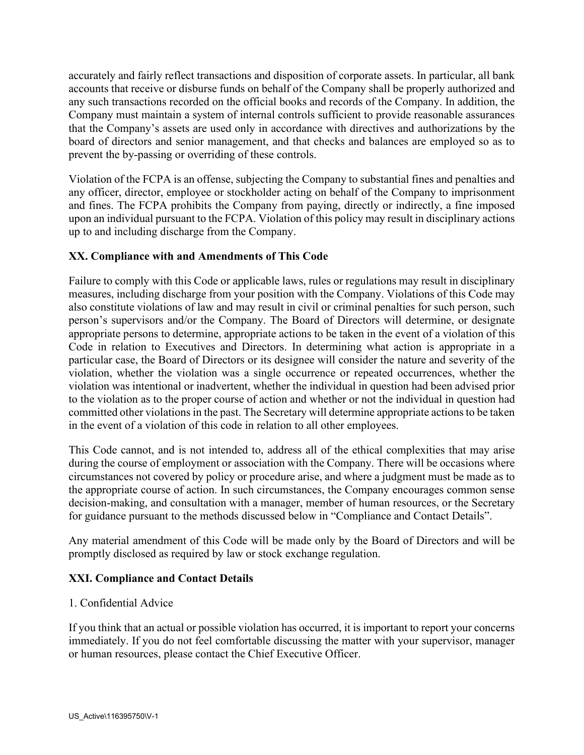accurately and fairly reflect transactions and disposition of corporate assets. In particular, all bank accounts that receive or disburse funds on behalf of the Company shall be properly authorized and any such transactions recorded on the official books and records of the Company. In addition, the Company must maintain a system of internal controls sufficient to provide reasonable assurances that the Company's assets are used only in accordance with directives and authorizations by the board of directors and senior management, and that checks and balances are employed so as to prevent the by-passing or overriding of these controls.

Violation of the FCPA is an offense, subjecting the Company to substantial fines and penalties and any officer, director, employee or stockholder acting on behalf of the Company to imprisonment and fines. The FCPA prohibits the Company from paying, directly or indirectly, a fine imposed upon an individual pursuant to the FCPA. Violation of this policy may result in disciplinary actions up to and including discharge from the Company.

# **XX. Compliance with and Amendments of This Code**

Failure to comply with this Code or applicable laws, rules or regulations may result in disciplinary measures, including discharge from your position with the Company. Violations of this Code may also constitute violations of law and may result in civil or criminal penalties for such person, such person's supervisors and/or the Company. The Board of Directors will determine, or designate appropriate persons to determine, appropriate actions to be taken in the event of a violation of this Code in relation to Executives and Directors. In determining what action is appropriate in a particular case, the Board of Directors or its designee will consider the nature and severity of the violation, whether the violation was a single occurrence or repeated occurrences, whether the violation was intentional or inadvertent, whether the individual in question had been advised prior to the violation as to the proper course of action and whether or not the individual in question had committed other violations in the past. The Secretary will determine appropriate actions to be taken in the event of a violation of this code in relation to all other employees.

This Code cannot, and is not intended to, address all of the ethical complexities that may arise during the course of employment or association with the Company. There will be occasions where circumstances not covered by policy or procedure arise, and where a judgment must be made as to the appropriate course of action. In such circumstances, the Company encourages common sense decision-making, and consultation with a manager, member of human resources, or the Secretary for guidance pursuant to the methods discussed below in "Compliance and Contact Details".

Any material amendment of this Code will be made only by the Board of Directors and will be promptly disclosed as required by law or stock exchange regulation.

# **XXI. Compliance and Contact Details**

# 1. Confidential Advice

If you think that an actual or possible violation has occurred, it is important to report your concerns immediately. If you do not feel comfortable discussing the matter with your supervisor, manager or human resources, please contact the Chief Executive Officer.